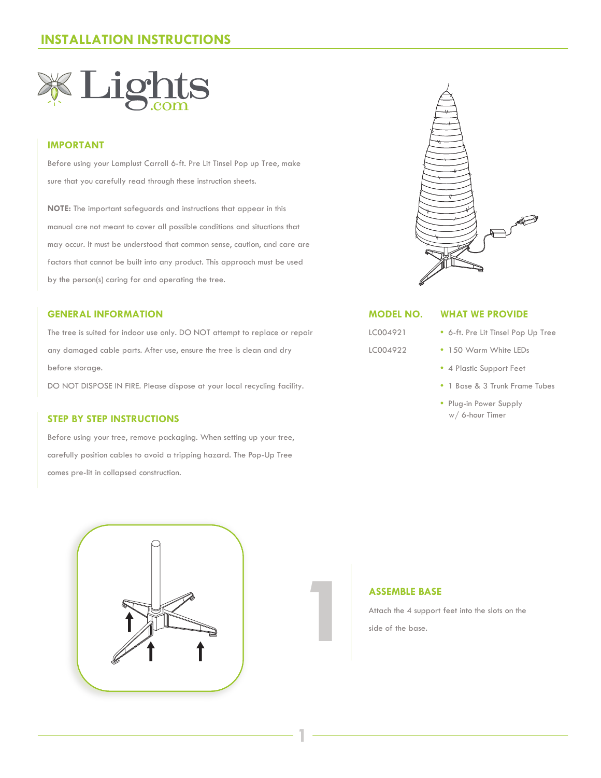# **INSTALLATION INSTRUCTIONS**



# **IMPORTANT**

Before using your Lamplust Carroll 6-ft. Pre Lit Tinsel Pop up Tree, make sure that you carefully read through these instruction sheets.

**NOTE:** The important safeguards and instructions that appear in this manual are not meant to cover all possible conditions and situations that may occur. It must be understood that common sense, caution, and care are factors that cannot be built into any product. This approach must be used by the person(s) caring for and operating the tree.

## **GENERAL INFORMATION**

The tree is suited for indoor use only. DO NOT attempt to replace or repair any damaged cable parts. After use, ensure the tree is clean and dry before storage.

DO NOT DISPOSE IN FIRE. Please dispose at your local recycling facility.

# **STEP BY STEP INSTRUCTIONS**

Before using your tree, remove packaging. When setting up your tree, carefully position cables to avoid a tripping hazard. The Pop-Up Tree comes pre-lit in collapsed construction.





### **MODEL NO.**

LC004921 LC004922

# **WHAT WE PROVIDE**

- 6-ft. Pre Lit Tinsel Pop Up Tree
- 150 Warm White LEDs
- 4 Plastic Support Feet
- 1 Base & 3 Trunk Frame Tubes
- Plug-in Power Supply w/ 6-hour Timer

**1**

**12 ASSEMBLE BASE**<br>Attach the 4 support<br>side of the base. Attach the 4 support feet into the slots on the side of the base.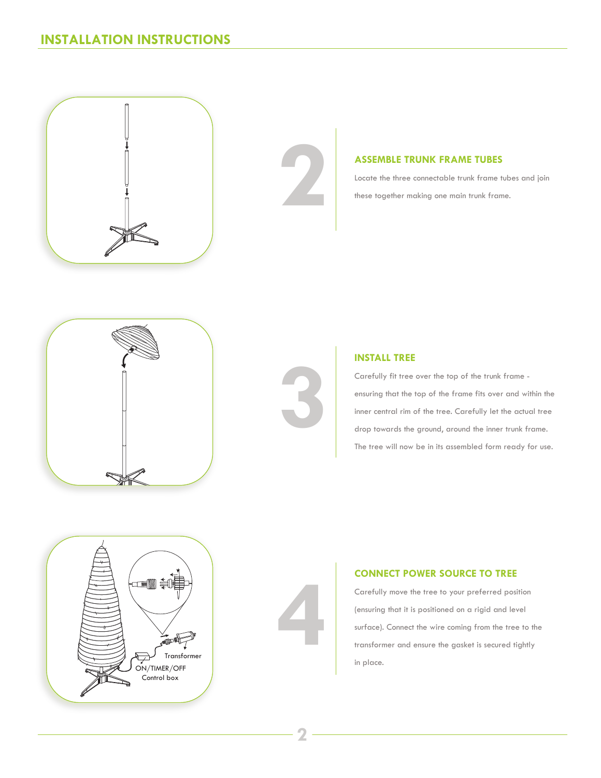



# **ASSEMBLE TRUNK FRAME TUBES**

Locate the three connectable trunk frame tubes and join these together making one main trunk frame.





# **INSTALL TREE**

Carefully fit tree over the top of the trunk frame ensuring that the top of the frame fits over and within the inner central rim of the tree. Carefully let the actual tree drop towards the ground, around the inner trunk frame. The tree will now be in its assembled form ready for use.



# **CONNECT POWER SOURCE TO TREE**

Carefully move the tree to your preferred position (ensuring that it is positioned on a rigid and level surface). Connect the wire coming from the tree to the transformer and ensure the gasket is secured tightly in place.

**4**